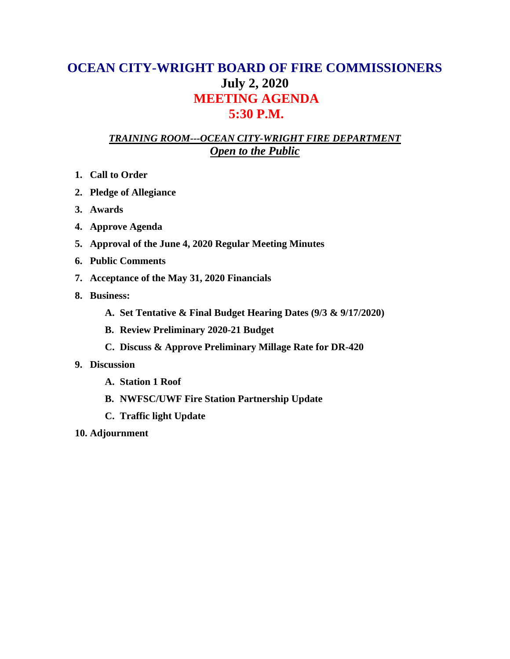## **OCEAN CITY-WRIGHT BOARD OF FIRE COMMISSIONERS July 2, 2020 MEETING AGENDA 5:30 P.M.**

## *TRAINING ROOM---OCEAN CITY-WRIGHT FIRE DEPARTMENT Open to the Public*

- **1. Call to Order**
- **2. Pledge of Allegiance**
- **3. Awards**
- **4. Approve Agenda**
- **5. Approval of the June 4, 2020 Regular Meeting Minutes**
- **6. Public Comments**
- **7. Acceptance of the May 31, 2020 Financials**
- **8. Business:**
	- **A. Set Tentative & Final Budget Hearing Dates (9/3 & 9/17/2020)**
	- **B. Review Preliminary 2020-21 Budget**
	- **C. Discuss & Approve Preliminary Millage Rate for DR-420**
- **9. Discussion**
	- **A. Station 1 Roof**
	- **B. NWFSC/UWF Fire Station Partnership Update**
	- **C. Traffic light Update**
- **10. Adjournment**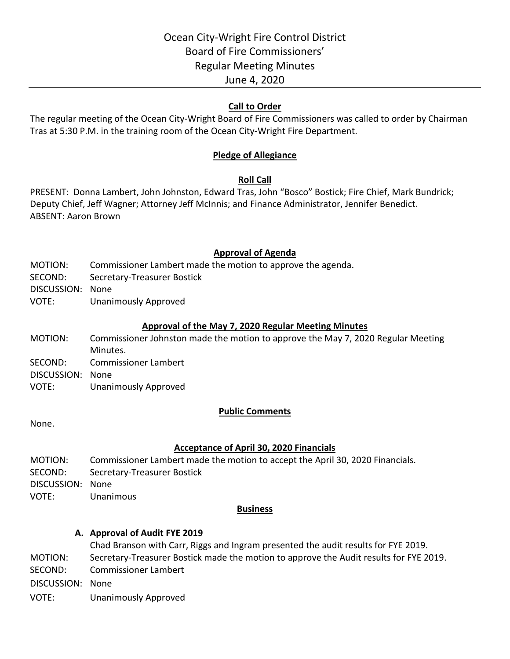### **Call to Order**

The regular meeting of the Ocean City-Wright Board of Fire Commissioners was called to order by Chairman Tras at 5:30 P.M. in the training room of the Ocean City-Wright Fire Department.

### **Pledge of Allegiance**

### **Roll Call**

PRESENT: Donna Lambert, John Johnston, Edward Tras, John "Bosco" Bostick; Fire Chief, Mark Bundrick; Deputy Chief, Jeff Wagner; Attorney Jeff McInnis; and Finance Administrator, Jennifer Benedict. ABSENT: Aaron Brown

#### **Approval of Agenda**

- MOTION: Commissioner Lambert made the motion to approve the agenda.
- SECOND: Secretary-Treasurer Bostick
- DISCUSSION: None
- VOTE: Unanimously Approved

#### **Approval of the May 7, 2020 Regular Meeting Minutes**

- MOTION: Commissioner Johnston made the motion to approve the May 7, 2020 Regular Meeting Minutes. SECOND: Commissioner Lambert
- DISCUSSION: None
- VOTE: Unanimously Approved

#### **Public Comments**

None.

## **Acceptance of April 30, 2020 Financials**

MOTION: Commissioner Lambert made the motion to accept the April 30, 2020 Financials. SECOND: Secretary-Treasurer Bostick DISCUSSION: None VOTE: Unanimous

#### **Business**

#### **A. Approval of Audit FYE 2019**

- Chad Branson with Carr, Riggs and Ingram presented the audit results for FYE 2019. MOTION: Secretary-Treasurer Bostick made the motion to approve the Audit results for FYE 2019. SECOND: Commissioner Lambert
- DISCUSSION: None
- VOTE: Unanimously Approved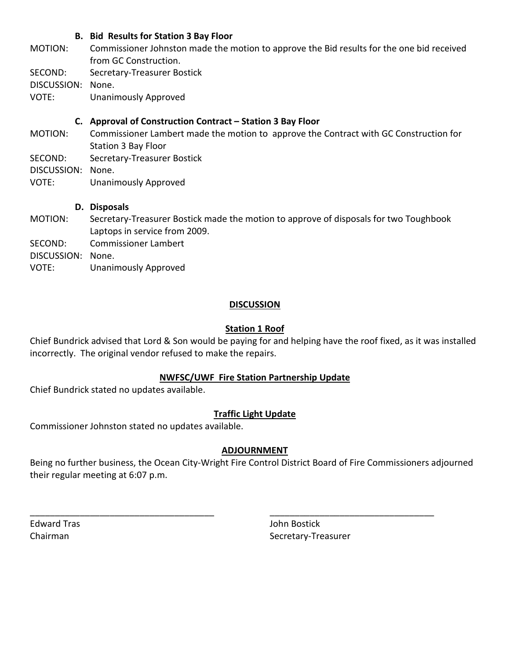### **B. Bid Results for Station 3 Bay Floor**

- MOTION: Commissioner Johnston made the motion to approve the Bid results for the one bid received from GC Construction.
- SECOND: Secretary-Treasurer Bostick

DISCUSSION: None.

VOTE: Unanimously Approved

## **C. Approval of Construction Contract – Station 3 Bay Floor**

- MOTION: Commissioner Lambert made the motion to approve the Contract with GC Construction for Station 3 Bay Floor
- SECOND: Secretary-Treasurer Bostick
- DISCUSSION: None.
- VOTE: Unanimously Approved

### **D. Disposals**

- MOTION: Secretary-Treasurer Bostick made the motion to approve of disposals for two Toughbook Laptops in service from 2009.
- SECOND: Commissioner Lambert

DISCUSSION: None.

VOTE: Unanimously Approved

## **DISCUSSION**

## **Station 1 Roof**

Chief Bundrick advised that Lord & Son would be paying for and helping have the roof fixed, as it was installed incorrectly. The original vendor refused to make the repairs.

## **NWFSC/UWF Fire Station Partnership Update**

Chief Bundrick stated no updates available.

## **Traffic Light Update**

Commissioner Johnston stated no updates available.

## **ADJOURNMENT**

Being no further business, the Ocean City-Wright Fire Control District Board of Fire Commissioners adjourned their regular meeting at 6:07 p.m.

\_\_\_\_\_\_\_\_\_\_\_\_\_\_\_\_\_\_\_\_\_\_\_\_\_\_\_\_\_\_\_\_\_\_\_\_\_ \_\_\_\_\_\_\_\_\_\_\_\_\_\_\_\_\_\_\_\_\_\_\_\_\_\_\_\_\_\_\_\_\_

Edward Tras John Bostick

Chairman Secretary-Treasurer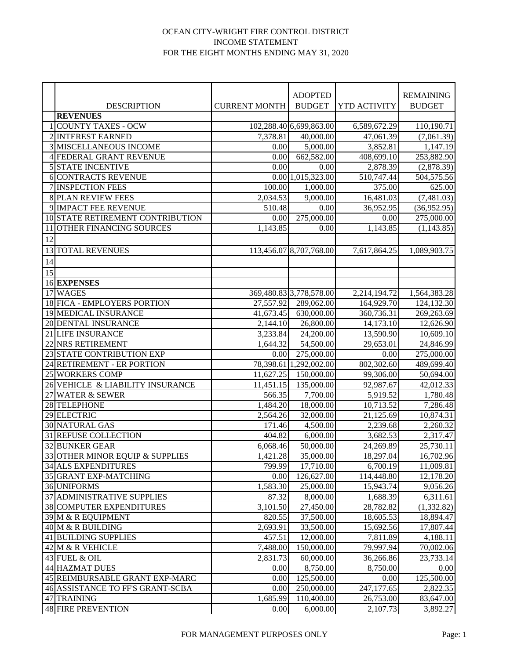#### OCEAN CITY-WRIGHT FIRE CONTROL DISTRICT INCOME STATEMENT FOR THE EIGHT MONTHS ENDING MAY 31, 2020

|    |                                  |                      | <b>ADOPTED</b>          |              | <b>REMAINING</b> |
|----|----------------------------------|----------------------|-------------------------|--------------|------------------|
|    | <b>DESCRIPTION</b>               | <b>CURRENT MONTH</b> | <b>BUDGET</b>           | YTD ACTIVITY | <b>BUDGET</b>    |
|    | <b>REVENUES</b>                  |                      |                         |              |                  |
|    | 1 COUNTY TAXES - OCW             |                      | 102,288.40 6,699,863.00 | 6,589,672.29 | 110,190.71       |
|    | 2 INTEREST EARNED                | 7,378.81             | 40,000.00               | 47,061.39    | (7,061.39)       |
|    | <b>3 MISCELLANEOUS INCOME</b>    | 0.00                 | 5,000.00                | 3,852.81     | 1,147.19         |
|    | 4 FEDERAL GRANT REVENUE          | 0.00                 | 662,582.00              | 408,699.10   | 253,882.90       |
|    | <b>5 STATE INCENTIVE</b>         | 0.00                 | 0.00                    | 2,878.39     | (2,878.39)       |
|    | 6 CONTRACTS REVENUE              |                      | 0.0011,015,323.00       | 510,747.44   | 504,575.56       |
|    | 7 INSPECTION FEES                | 100.00               | 1,000.00                | 375.00       | 625.00           |
|    | <b>8 PLAN REVIEW FEES</b>        | 2,034.53             | 9,000.00                | 16,481.03    | (7,481.03)       |
|    | 9 IMPACT FEE REVENUE             | 510.48               | 0.00                    | 36,952.95    | (36,952.95)      |
|    | 10 STATE RETIREMENT CONTRIBUTION | 0.00                 | 275,000.00              | 0.00         | 275,000.00       |
| 11 | OTHER FINANCING SOURCES          | 1,143.85             | 0.00                    | 1,143.85     | (1,143.85)       |
| 12 |                                  |                      |                         |              |                  |
|    | <b>13 TOTAL REVENUES</b>         |                      | 113,456.07 8,707,768.00 | 7,617,864.25 | 1,089,903.75     |
| 14 |                                  |                      |                         |              |                  |
| 15 |                                  |                      |                         |              |                  |
|    | <b>16 EXPENSES</b>               |                      |                         |              |                  |
|    | 17 WAGES                         |                      | 369,480.83 3,778,578.00 | 2,214,194.72 | 1,564,383.28     |
|    | 18 FICA - EMPLOYERS PORTION      | 27,557.92            | 289,062.00              | 164,929.70   | 124,132.30       |
|    | 19 MEDICAL INSURANCE             | 41,673.45            | 630,000.00              | 360,736.31   | 269,263.69       |
|    | 20 DENTAL INSURANCE              | 2,144.10             | 26,800.00               | 14,173.10    | 12,626.90        |
|    | 21 LIFE INSURANCE                | 3,233.84             | 24,200.00               | 13,590.90    | 10,609.10        |
|    | 22 NRS RETIREMENT                | 1,644.32             | 54,500.00               | 29,653.01    | 24,846.99        |
|    | 23 STATE CONTRIBUTION EXP        | 0.00                 | 275,000.00              | 0.00         | 275,000.00       |
|    | 24 RETIREMENT - ER PORTION       | 78,398.61            | 1,292,002.00            | 802,302.60   | 489,699.40       |
|    | 25 WORKERS COMP                  | 11,627.25            | 150,000.00              | 99,306.00    | 50,694.00        |
|    | 26 VEHICLE & LIABILITY INSURANCE | 11,451.15            | 135,000.00              | 92,987.67    | 42,012.33        |
|    | 27 WATER & SEWER                 | 566.35               | 7,700.00                | 5,919.52     | 1,780.48         |
|    | 28 TELEPHONE                     | 1,484.20             | 18,000.00               | 10,713.52    | 7,286.48         |
|    | 29 ELECTRIC                      | 2,564.26             | 32,000.00               | 21,125.69    | 10,874.31        |
|    | <b>30 NATURAL GAS</b>            | 171.46               | $\frac{1}{4,500.00}$    | 2,239.68     | 2,260.32         |
|    | 31 REFUSE COLLECTION             | 404.82               | 6,000.00                | 3,682.53     | 2,317.47         |
|    | <b>32 BUNKER GEAR</b>            | 6,068.46             | $50,000.\overline{00}$  | 24,269.89    | 25,730.11        |
|    | 33 OTHER MINOR EQUIP & SUPPLIES  | 1,421.28             | 35,000.00               | 18,297.04    | 16,702.96        |
|    | 34 ALS EXPENDITURES              | 799.99               | 17,710.00               | 6,700.19     | 11,009.81        |
|    | 35 GRANT EXP-MATCHING            | 0.00                 | 126,627.00              | 114,448.80   | 12,178.20        |
|    | 36 UNIFORMS                      | 1,583.30             | 25,000.00               | 15,943.74    | 9,056.26         |
|    | 37 ADMINISTRATIVE SUPPLIES       | 87.32                | 8,000.00                | 1,688.39     | 6,311.61         |
|    | <b>38 COMPUTER EXPENDITURES</b>  | 3,101.50             | 27,450.00               | 28,782.82    | (1,332.82)       |
|    | 39 M & R EQUIPMENT               | 820.55               | 37,500.00               | 18,605.53    | 18,894.47        |
|    | 40 M & R BUILDING                | 2,693.91             | 33,500.00               | 15,692.56    | 17,807.44        |
|    | 41 BUILDING SUPPLIES             | 457.51               | 12,000.00               | 7,811.89     | 4,188.11         |
|    | 42 M & R VEHICLE                 | 7,488.00             | 150,000.00              | 79,997.94    | 70,002.06        |
|    | 43 FUEL & OIL                    | 2,831.73             | 60,000.00               | 36,266.86    | 23,733.14        |
|    | 44 HAZMAT DUES                   | 0.00                 | 8,750.00                | 8,750.00     | 0.00             |
|    | 45 REIMBURSABLE GRANT EXP-MARC   | 0.00                 | 125,500.00              | 0.00         | 125,500.00       |
|    | 46 ASSISTANCE TO FF'S GRANT-SCBA | 0.00                 | 250,000.00              | 247,177.65   | 2,822.35         |
|    | 47 TRAINING                      | 1,685.99             | 110,400.00              | 26,753.00    | 83,647.00        |
|    | <b>48 FIRE PREVENTION</b>        | 0.00                 | 6,000.00                | 2,107.73     | 3,892.27         |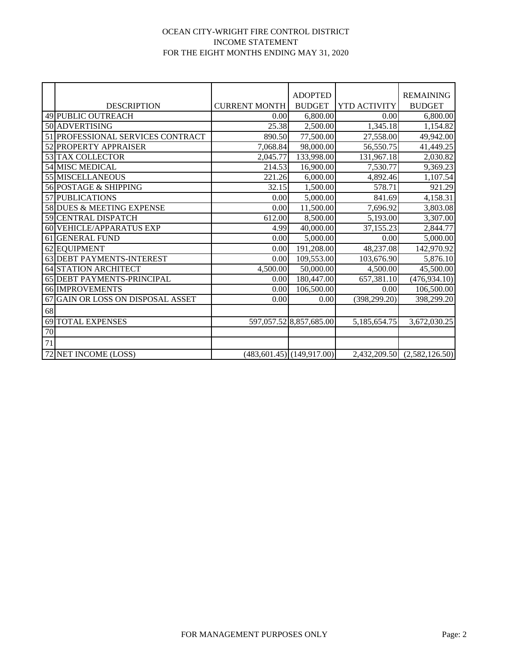#### OCEAN CITY-WRIGHT FIRE CONTROL DISTRICT INCOME STATEMENT FOR THE EIGHT MONTHS ENDING MAY 31, 2020

|    |                                |                      | <b>ADOPTED</b>              |                     | <b>REMAINING</b> |
|----|--------------------------------|----------------------|-----------------------------|---------------------|------------------|
|    | <b>DESCRIPTION</b>             | <b>CURRENT MONTH</b> | <b>BUDGET</b>               | <b>YTD ACTIVITY</b> | <b>BUDGET</b>    |
|    | 49 PUBLIC OUTREACH             | 0.00                 | 6,800.00                    | 0.00                | 6,800.00         |
|    | 50 ADVERTISING                 | 25.38                | 2,500.00                    | 1,345.18            | 1,154.82         |
| 51 | PROFESSIONAL SERVICES CONTRACT | 890.50               | 77,500.00                   | 27,558.00           | 49,942.00        |
| 52 | PROPERTY APPRAISER             | 7,068.84             | 98,000.00                   | 56,550.75           | 41,449.25        |
|    | 53 TAX COLLECTOR               | 2,045.77             | 133,998.00                  | 131,967.18          | 2,030.82         |
|    | 54 MISC MEDICAL                | 214.53               | 16,900.00                   | 7,530.77            | 9,369.23         |
|    | <b>55 MISCELLANEOUS</b>        | 221.26               | 6,000.00                    | 4,892.46            | 1,107.54         |
|    | 56 POSTAGE & SHIPPING          | 32.15                | 1,500.00                    | 578.71              | 921.29           |
|    | 57 PUBLICATIONS                | 0.00                 | 5,000.00                    | 841.69              | 4,158.31         |
|    | 58 DUES & MEETING EXPENSE      | 0.00                 | 11,500.00                   | 7,696.92            | 3,803.08         |
|    | 59 CENTRAL DISPATCH            | 612.00               | 8,500.00                    | 5,193.00            | 3,307.00         |
|    | 60 VEHICLE/APPARATUS EXP       | 4.99                 | 40,000.00                   | 37,155.23           | 2,844.77         |
| 61 | <b>GENERAL FUND</b>            | 0.00                 | 5,000.00                    | 0.00                | 5,000.00         |
|    | 62 EQUIPMENT                   | 0.00                 | 191,208.00                  | 48,237.08           | 142,970.92       |
|    | 63 DEBT PAYMENTS-INTEREST      | 0.00                 | 109,553.00                  | 103,676.90          | 5,876.10         |
|    | <b>64 STATION ARCHITECT</b>    | 4,500.00             | 50,000.00                   | 4,500.00            | 45,500.00        |
|    | 65 DEBT PAYMENTS-PRINCIPAL     | 0.00                 | 180,447.00                  | 657,381.10          | (476, 934.10)    |
|    | <b>66 IMPROVEMENTS</b>         | 0.00                 | 106,500.00                  | 0.00                | 106,500.00       |
| 67 | GAIN OR LOSS ON DISPOSAL ASSET | 0.00                 | 0.00                        | (398, 299.20)       | 398,299.20       |
| 68 |                                |                      |                             |                     |                  |
| 69 | <b>TOTAL EXPENSES</b>          |                      | 597,057.52 8,857,685.00     | 5,185,654.75        | 3,672,030.25     |
| 70 |                                |                      |                             |                     |                  |
| 71 |                                |                      |                             |                     |                  |
|    | 72 NET INCOME (LOSS)           |                      | (483, 601.45) (149, 917.00) | 2,432,209.50        | (2,582,126.50)   |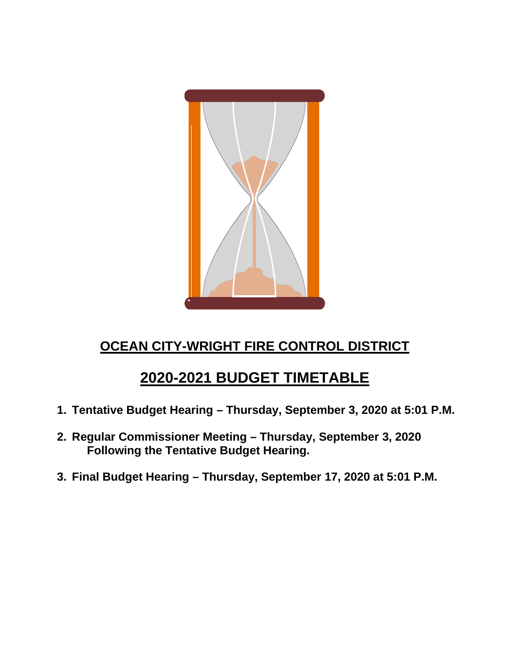

# **OCEAN CITY-WRIGHT FIRE CONTROL DISTRICT**

# **2020-2021 BUDGET TIMETABLE**

- **1. Tentative Budget Hearing – Thursday, September 3, 2020 at 5:01 P.M.**
- **2. Regular Commissioner Meeting – Thursday, September 3, 2020 Following the Tentative Budget Hearing.**
- **3. Final Budget Hearing – Thursday, September 17, 2020 at 5:01 P.M.**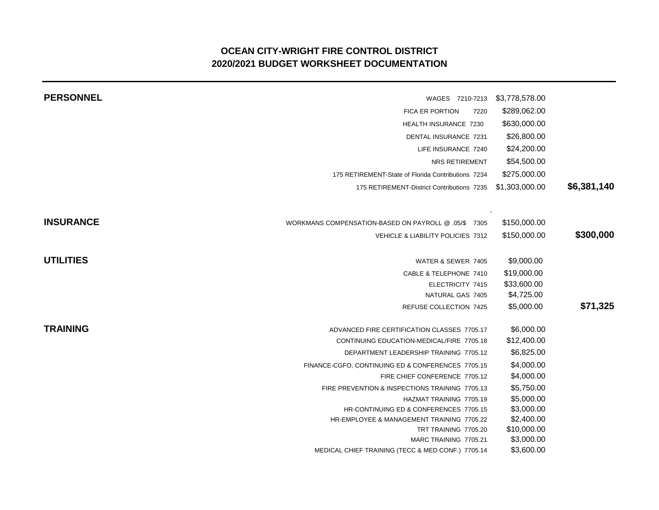## **OCEAN CITY-WRIGHT FIRE CONTROL DISTRICT 2020/2021 BUDGET WORKSHEET DOCUMENTATION**

| <b>PERSONNEL</b> | WAGES 7210-7213                                      | \$3,778,578.00 |             |
|------------------|------------------------------------------------------|----------------|-------------|
|                  | <b>FICA ER PORTION</b><br>7220                       | \$289,062.00   |             |
|                  | HEALTH INSURANCE 7230                                | \$630,000.00   |             |
|                  | <b>DENTAL INSURANCE 7231</b>                         | \$26,800.00    |             |
|                  | LIFE INSURANCE 7240                                  | \$24,200.00    |             |
|                  | NRS RETIREMENT                                       | \$54,500.00    |             |
|                  | 175 RETIREMENT-State of Florida Contributions 7234   | \$275,000.00   |             |
|                  | 175 RETIREMENT-District Contributions 7235           | \$1,303,000.00 | \$6,381,140 |
| <b>INSURANCE</b> | WORKMANS COMPENSATION-BASED ON PAYROLL @ .05/\$ 7305 | \$150,000.00   |             |
|                  | VEHICLE & LIABILITY POLICIES 7312                    | \$150,000.00   | \$300,000   |
| <b>UTILITIES</b> | WATER & SEWER 7405                                   | \$9,000.00     |             |
|                  | CABLE & TELEPHONE 7410                               | \$19,000.00    |             |
|                  | ELECTRICITY 7415                                     | \$33,600.00    |             |
|                  | NATURAL GAS 7405                                     | \$4,725.00     |             |
|                  | <b>REFUSE COLLECTION 7425</b>                        | \$5,000.00     | \$71,325    |
| <b>TRAINING</b>  | ADVANCED FIRE CERTIFICATION CLASSES 7705.17          | \$6,000.00     |             |
|                  | CONTINUING EDUCATION-MEDICAL/FIRE 7705.18            | \$12,400.00    |             |
|                  | DEPARTMENT LEADERSHIP TRAINING 7705.12               | \$6,825.00     |             |
|                  | FINANCE-CGFO, CONTINUING ED & CONFERENCES 7705.15    | \$4,000.00     |             |
|                  | FIRE CHIEF CONFERENCE 7705.12                        | \$4,000.00     |             |
|                  | FIRE PREVENTION & INSPECTIONS TRAINING 7705.13       | \$5,750.00     |             |
|                  | HAZMAT TRAINING 7705.19                              | \$5,000.00     |             |
|                  | HR-CONTINUING ED & CONFERENCES 7705.15               | \$3,000.00     |             |
|                  | HR-EMPLOYEE & MANAGEMENT TRAINING 7705.22            | \$2,400.00     |             |
|                  | TRT TRAINING 7705.20                                 | \$10,000.00    |             |
|                  | MARC TRAINING 7705.21                                | \$3,000.00     |             |
|                  | MEDICAL CHIEF TRAINING (TECC & MED CONF.) 7705.14    | \$3,600.00     |             |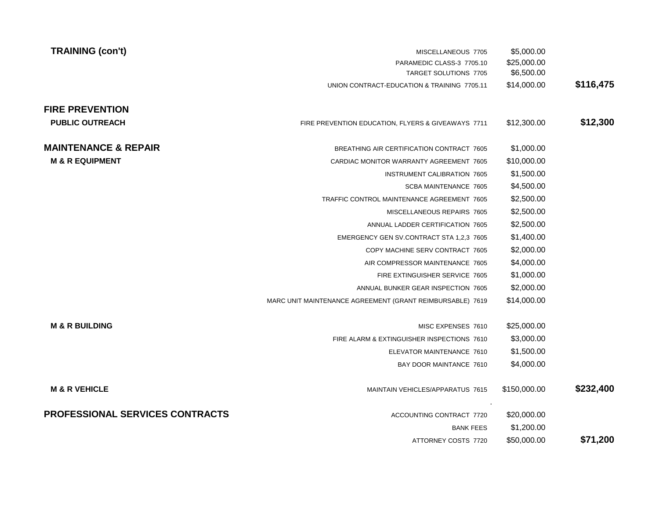| <b>TRAINING (con't)</b>                | MISCELLANEOUS 7705                                        | \$5,000.00   |           |
|----------------------------------------|-----------------------------------------------------------|--------------|-----------|
|                                        | PARAMEDIC CLASS-3 7705.10                                 | \$25,000.00  |           |
|                                        | TARGET SOLUTIONS 7705                                     | \$6,500.00   |           |
|                                        | UNION CONTRACT-EDUCATION & TRAINING 7705.11               | \$14,000.00  | \$116,475 |
| <b>FIRE PREVENTION</b>                 |                                                           |              |           |
| <b>PUBLIC OUTREACH</b>                 | FIRE PREVENTION EDUCATION, FLYERS & GIVEAWAYS 7711        | \$12,300.00  | \$12,300  |
| <b>MAINTENANCE &amp; REPAIR</b>        | BREATHING AIR CERTIFICATION CONTRACT 7605                 | \$1,000.00   |           |
| <b>M &amp; R EQUIPMENT</b>             | CARDIAC MONITOR WARRANTY AGREEMENT 7605                   | \$10,000.00  |           |
|                                        | <b>INSTRUMENT CALIBRATION 7605</b>                        | \$1,500.00   |           |
|                                        | SCBA MAINTENANCE 7605                                     | \$4,500.00   |           |
|                                        | TRAFFIC CONTROL MAINTENANCE AGREEMENT 7605                | \$2,500.00   |           |
|                                        | MISCELLANEOUS REPAIRS 7605                                | \$2,500.00   |           |
|                                        | ANNUAL LADDER CERTIFICATION 7605                          | \$2,500.00   |           |
|                                        | EMERGENCY GEN SV.CONTRACT STA 1,2,3 7605                  | \$1,400.00   |           |
|                                        | COPY MACHINE SERV CONTRACT 7605                           | \$2,000.00   |           |
|                                        | AIR COMPRESSOR MAINTENANCE 7605                           | \$4,000.00   |           |
|                                        | FIRE EXTINGUISHER SERVICE 7605                            | \$1,000.00   |           |
|                                        | ANNUAL BUNKER GEAR INSPECTION 7605                        | \$2,000.00   |           |
|                                        | MARC UNIT MAINTENANCE AGREEMENT (GRANT REIMBURSABLE) 7619 | \$14,000.00  |           |
| <b>M &amp; R BUILDING</b>              | MISC EXPENSES 7610                                        | \$25,000.00  |           |
|                                        | FIRE ALARM & EXTINGUISHER INSPECTIONS 7610                | \$3,000.00   |           |
|                                        | ELEVATOR MAINTENANCE 7610                                 | \$1,500.00   |           |
|                                        | BAY DOOR MAINTANCE 7610                                   | \$4,000.00   |           |
| <b>M &amp; R VEHICLE</b>               | MAINTAIN VEHICLES/APPARATUS 7615                          | \$150,000.00 | \$232,400 |
| <b>PROFESSIONAL SERVICES CONTRACTS</b> | ACCOUNTING CONTRACT 7720                                  | \$20,000.00  |           |
|                                        | <b>BANK FEES</b>                                          | \$1,200.00   |           |
|                                        | ATTORNEY COSTS 7720                                       | \$50,000.00  | \$71,200  |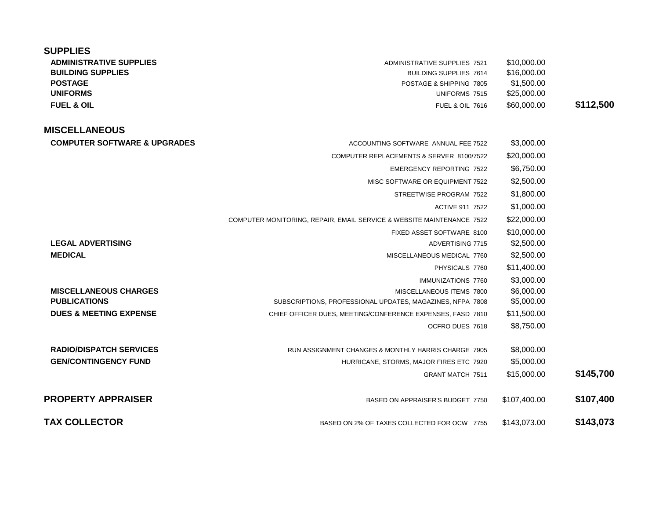| <b>SUPPLIES</b>                         |                                                                       |              |           |
|-----------------------------------------|-----------------------------------------------------------------------|--------------|-----------|
| <b>ADMINISTRATIVE SUPPLIES</b>          | <b>ADMINISTRATIVE SUPPLIES 7521</b>                                   | \$10,000.00  |           |
| <b>BUILDING SUPPLIES</b>                | <b>BUILDING SUPPLIES 7614</b>                                         | \$16,000.00  |           |
| <b>POSTAGE</b>                          | POSTAGE & SHIPPING 7805                                               | \$1,500.00   |           |
| <b>UNIFORMS</b>                         | UNIFORMS 7515                                                         | \$25,000.00  |           |
| <b>FUEL &amp; OIL</b>                   | <b>FUEL &amp; OIL 7616</b>                                            | \$60,000,00  | \$112,500 |
| <b>MISCELLANEOUS</b>                    |                                                                       |              |           |
| <b>COMPUTER SOFTWARE &amp; UPGRADES</b> | ACCOUNTING SOFTWARE ANNUAL FEE 7522                                   | \$3,000.00   |           |
|                                         | COMPUTER REPLACEMENTS & SERVER 8100/7522                              | \$20,000.00  |           |
|                                         | <b>EMERGENCY REPORTING 7522</b>                                       | \$6,750.00   |           |
|                                         | MISC SOFTWARE OR EQUIPMENT 7522                                       | \$2,500.00   |           |
|                                         | STREETWISE PROGRAM 7522                                               | \$1,800.00   |           |
|                                         | <b>ACTIVE 911 7522</b>                                                | \$1,000.00   |           |
|                                         | COMPUTER MONITORING, REPAIR, EMAIL SERVICE & WEBSITE MAINTENANCE 7522 | \$22,000.00  |           |
|                                         | FIXED ASSET SOFTWARE 8100                                             | \$10,000.00  |           |
| <b>LEGAL ADVERTISING</b>                | ADVERTISING 7715                                                      | \$2,500.00   |           |
| <b>MEDICAL</b>                          | MISCELLANEOUS MEDICAL 7760                                            | \$2,500.00   |           |
|                                         | PHYSICALS 7760                                                        | \$11,400.00  |           |
|                                         | IMMUNIZATIONS 7760                                                    | \$3,000.00   |           |
| <b>MISCELLANEOUS CHARGES</b>            | MISCELLANEOUS ITEMS 7800                                              | \$6,000.00   |           |
| <b>PUBLICATIONS</b>                     | SUBSCRIPTIONS, PROFESSIONAL UPDATES, MAGAZINES, NFPA 7808             | \$5,000.00   |           |
| <b>DUES &amp; MEETING EXPENSE</b>       | CHIEF OFFICER DUES, MEETING/CONFERENCE EXPENSES, FASD 7810            | \$11,500.00  |           |
|                                         | OCFRO DUES 7618                                                       | \$8,750.00   |           |
| <b>RADIO/DISPATCH SERVICES</b>          | RUN ASSIGNMENT CHANGES & MONTHLY HARRIS CHARGE 7905                   | \$8,000.00   |           |
| <b>GEN/CONTINGENCY FUND</b>             | HURRICANE, STORMS, MAJOR FIRES ETC 7920                               | \$5,000.00   |           |
|                                         | <b>GRANT MATCH 7511</b>                                               | \$15,000.00  | \$145,700 |
| <b>PROPERTY APPRAISER</b>               | BASED ON APPRAISER'S BUDGET 7750                                      | \$107,400.00 | \$107,400 |
| <b>TAX COLLECTOR</b>                    | BASED ON 2% OF TAXES COLLECTED FOR OCW 7755                           | \$143,073.00 | \$143,073 |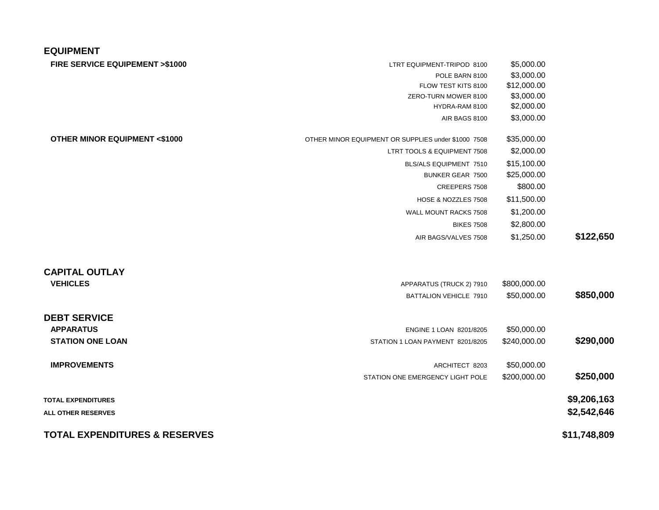### **EQUIPMENT**

| <b>FIRE SERVICE EQUIPEMENT &gt;\$1000</b> |  |  |
|-------------------------------------------|--|--|
|-------------------------------------------|--|--|

| LTRT EQUIPMENT-TRIPOD 8100 | \$5,000,00 |
|----------------------------|------------|
|                            |            |

| \$3,000.00  | POLE BARN 8100      |
|-------------|---------------------|
| \$12,000.00 | FLOW TEST KITS 8100 |

FLOW TEST KITS 8100 \$12,000.00<br>RO-TURN MOWER 8100 \$3,000.00

ZERO-TURN MOWER 8100 \$3,000.00<br>HYDRA-RAM 8100 \$2,000.00 HYDRA-RAM 8100

AIR BAGS 8100 \$3,000.00

| OTHER MINOR EQUIPMENT OR SUPPLIES under \$1000 7508 | \$35,000.00  |              |
|-----------------------------------------------------|--------------|--------------|
| LTRT TOOLS & EQUIPMENT 7508                         | \$2,000.00   |              |
| BLS/ALS EQUIPMENT 7510                              | \$15,100.00  |              |
| BUNKER GEAR 7500                                    | \$25,000.00  |              |
| CREEPERS 7508                                       | \$800.00     |              |
| HOSE & NOZZLES 7508                                 | \$11,500.00  |              |
| WALL MOUNT RACKS 7508                               | \$1,200.00   |              |
| <b>BIKES 7508</b>                                   | \$2,800.00   |              |
| AIR BAGS/VALVES 7508                                | \$1,250.00   | \$122,650    |
|                                                     |              |              |
| APPARATUS (TRUCK 2) 7910                            | \$800,000.00 |              |
| BATTALION VEHICLE 7910                              | \$50,000.00  | \$850,000    |
|                                                     |              |              |
| ENGINE 1 LOAN 8201/8205                             | \$50,000.00  |              |
| STATION 1 LOAN PAYMENT 8201/8205                    | \$240,000.00 | \$290,000    |
| ARCHITECT 8203                                      | \$50,000.00  |              |
| STATION ONE EMERGENCY LIGHT POLE                    | \$200,000.00 | \$250,000    |
|                                                     |              | \$9,206,163  |
|                                                     |              | \$2,542,646  |
|                                                     |              | \$11,748,809 |
|                                                     |              |              |